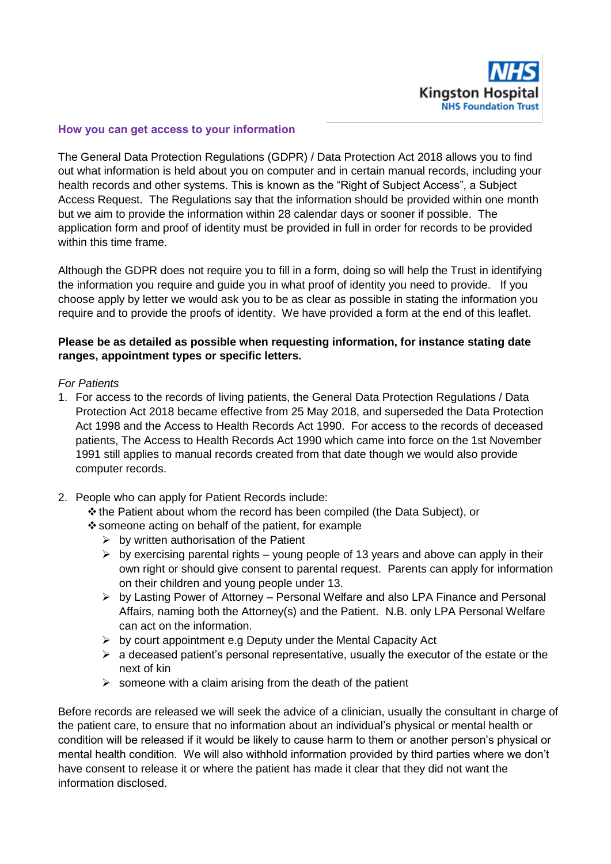

### **How you can get access to your information**

The General Data Protection Regulations (GDPR) / Data Protection Act 2018 allows you to find out what information is held about you on computer and in certain manual records, including your health records and other systems. This is known as the "Right of Subject Access", a Subject Access Request. The Regulations say that the information should be provided within one month but we aim to provide the information within 28 calendar days or sooner if possible. The application form and proof of identity must be provided in full in order for records to be provided within this time frame.

Although the GDPR does not require you to fill in a form, doing so will help the Trust in identifying the information you require and guide you in what proof of identity you need to provide. If you choose apply by letter we would ask you to be as clear as possible in stating the information you require and to provide the proofs of identity. We have provided a form at the end of this leaflet.

## **Please be as detailed as possible when requesting information, for instance stating date ranges, appointment types or specific letters.**

#### *For Patients*

- 1. For access to the records of living patients, the General Data Protection Regulations / Data Protection Act 2018 became effective from 25 May 2018, and superseded the Data Protection Act 1998 and the Access to Health Records Act 1990. For access to the records of deceased patients, The Access to Health Records Act 1990 which came into force on the 1st November 1991 still applies to manual records created from that date though we would also provide computer records.
- 2. People who can apply for Patient Records include: the Patient about whom the record has been compiled (the Data Subject), or
	- $\div$  someone acting on behalf of the patient, for example
		- $\triangleright$  by written authorisation of the Patient
		- $\triangleright$  by exercising parental rights young people of 13 years and above can apply in their own right or should give consent to parental request. Parents can apply for information on their children and young people under 13.
		- $\triangleright$  by Lasting Power of Attorney Personal Welfare and also LPA Finance and Personal Affairs, naming both the Attorney(s) and the Patient. N.B. only LPA Personal Welfare can act on the information.
		- $\triangleright$  by court appointment e.g Deputy under the Mental Capacity Act
		- $\triangleright$  a deceased patient's personal representative, usually the executor of the estate or the next of kin
		- $\triangleright$  someone with a claim arising from the death of the patient

Before records are released we will seek the advice of a clinician, usually the consultant in charge of the patient care, to ensure that no information about an individual's physical or mental health or condition will be released if it would be likely to cause harm to them or another person's physical or mental health condition. We will also withhold information provided by third parties where we don't have consent to release it or where the patient has made it clear that they did not want the information disclosed.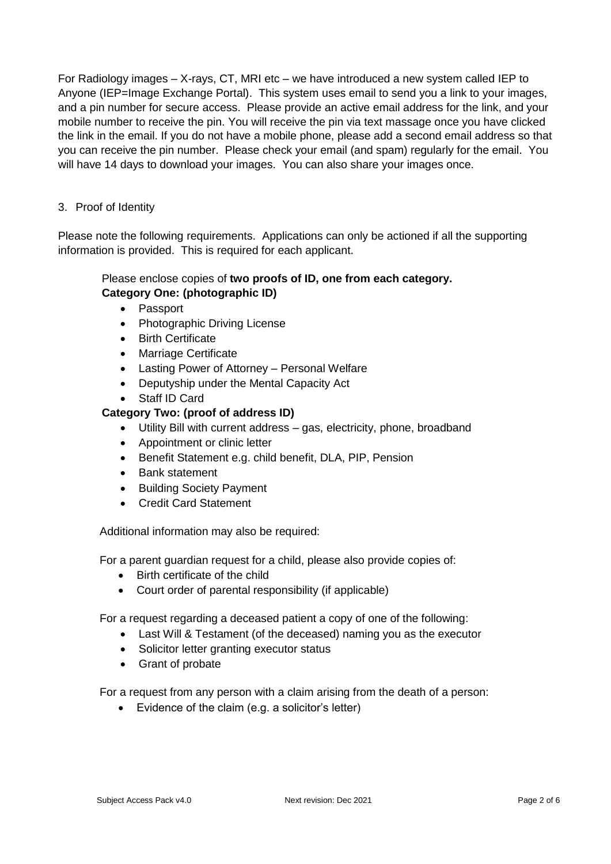For Radiology images – X-rays, CT, MRI etc – we have introduced a new system called IEP to Anyone (IEP=Image Exchange Portal). This system uses email to send you a link to your images, and a pin number for secure access. Please provide an active email address for the link, and your mobile number to receive the pin. You will receive the pin via text massage once you have clicked the link in the email. If you do not have a mobile phone, please add a second email address so that you can receive the pin number. Please check your email (and spam) regularly for the email. You will have 14 days to download your images. You can also share your images once.

# 3. Proof of Identity

Please note the following requirements. Applications can only be actioned if all the supporting information is provided. This is required for each applicant.

# Please enclose copies of **two proofs of ID, one from each category. Category One: (photographic ID)**

- Passport
- Photographic Driving License
- Birth Certificate
- Marriage Certificate
- Lasting Power of Attorney Personal Welfare
- Deputyship under the Mental Capacity Act
- Staff ID Card

# **Category Two: (proof of address ID)**

- Utility Bill with current address gas, electricity, phone, broadband
- Appointment or clinic letter
- Benefit Statement e.g. child benefit, DLA, PIP, Pension
- Bank statement
- Building Society Payment
- Credit Card Statement

Additional information may also be required:

For a parent guardian request for a child, please also provide copies of:

- Birth certificate of the child
- Court order of parental responsibility (if applicable)

For a request regarding a deceased patient a copy of one of the following:

- Last Will & Testament (of the deceased) naming you as the executor
- Solicitor letter granting executor status
- Grant of probate

For a request from any person with a claim arising from the death of a person:

Evidence of the claim (e.g. a solicitor's letter)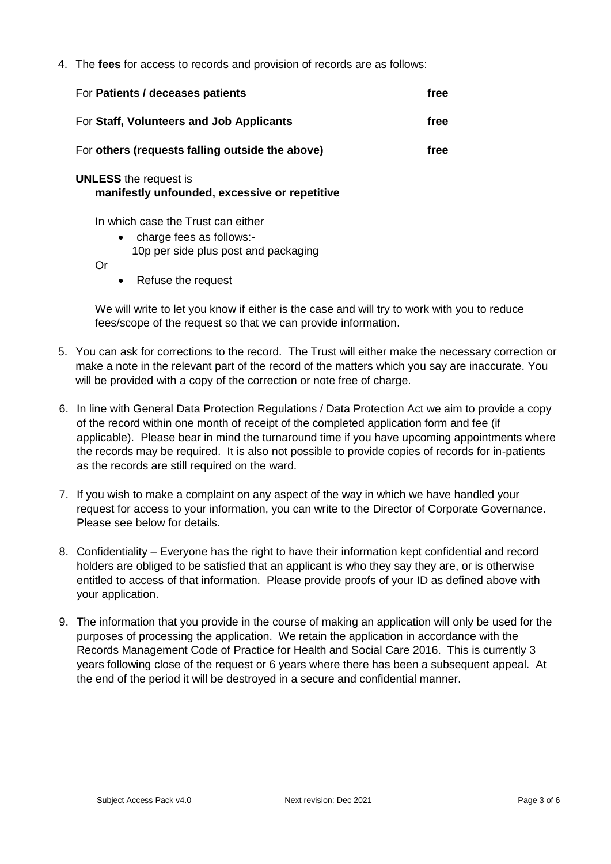4. The **fees** for access to records and provision of records are as follows:

| For Patients / deceases patients                                              | free |
|-------------------------------------------------------------------------------|------|
| For Staff, Volunteers and Job Applicants                                      | free |
| For others (requests falling outside the above)                               | free |
| <b>UNLESS</b> the request is<br>manifestly unfounded, excessive or repetitive |      |

In which case the Trust can either

- charge fees as follows:-
	- 10p per side plus post and packaging

Or

• Refuse the request

We will write to let you know if either is the case and will try to work with you to reduce fees/scope of the request so that we can provide information.

- 5. You can ask for corrections to the record. The Trust will either make the necessary correction or make a note in the relevant part of the record of the matters which you say are inaccurate. You will be provided with a copy of the correction or note free of charge.
- 6. In line with General Data Protection Regulations / Data Protection Act we aim to provide a copy of the record within one month of receipt of the completed application form and fee (if applicable). Please bear in mind the turnaround time if you have upcoming appointments where the records may be required. It is also not possible to provide copies of records for in-patients as the records are still required on the ward.
- 7. If you wish to make a complaint on any aspect of the way in which we have handled your request for access to your information, you can write to the Director of Corporate Governance. Please see below for details.
- 8. Confidentiality Everyone has the right to have their information kept confidential and record holders are obliged to be satisfied that an applicant is who they say they are, or is otherwise entitled to access of that information. Please provide proofs of your ID as defined above with your application.
- 9. The information that you provide in the course of making an application will only be used for the purposes of processing the application. We retain the application in accordance with the Records Management Code of Practice for Health and Social Care 2016. This is currently 3 years following close of the request or 6 years where there has been a subsequent appeal. At the end of the period it will be destroyed in a secure and confidential manner.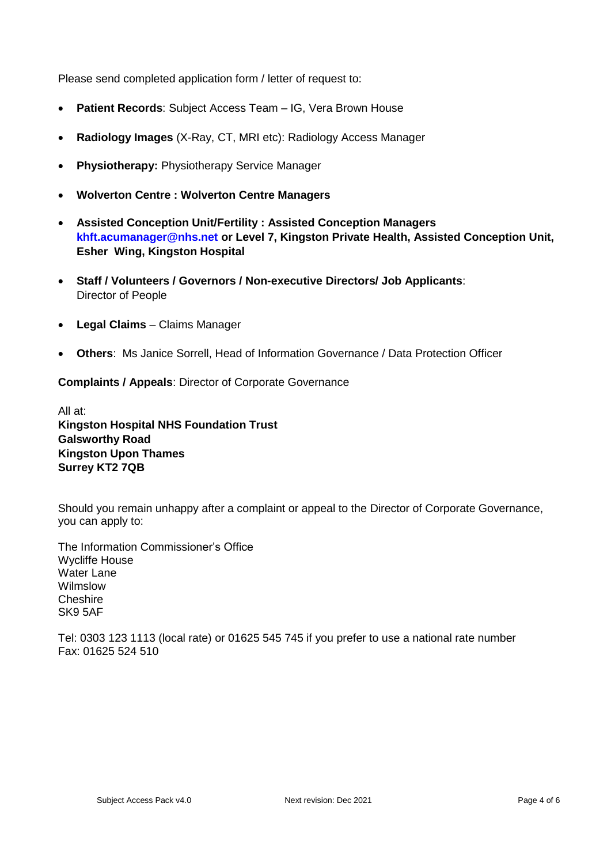Please send completed application form / letter of request to:

- **Patient Records**: Subject Access Team IG, Vera Brown House
- **Radiology Images** (X-Ray, CT, MRI etc): Radiology Access Manager
- **Physiotherapy:** Physiotherapy Service Manager
- **Wolverton Centre : Wolverton Centre Managers**
- **Assisted Conception Unit/Fertility : Assisted Conception Managers [khft.acumanager@nhs.net](mailto:khft.acumanager@nhs.net) or Level 7, Kingston Private Health, Assisted Conception Unit, Esher Wing, Kingston Hospital**
- **Staff / Volunteers / Governors / Non-executive Directors/ Job Applicants**: Director of People
- **Legal Claims** Claims Manager
- **Others**: Ms Janice Sorrell, Head of Information Governance / Data Protection Officer

**Complaints / Appeals**: Director of Corporate Governance

All at: **Kingston Hospital NHS Foundation Trust Galsworthy Road Kingston Upon Thames Surrey KT2 7QB**

Should you remain unhappy after a complaint or appeal to the Director of Corporate Governance, you can apply to:

The Information Commissioner's Office Wycliffe House Water Lane Wilmslow **Cheshire** SK9 5AF

Tel: 0303 123 1113 (local rate) or 01625 545 745 if you prefer to use a national rate number Fax: 01625 524 510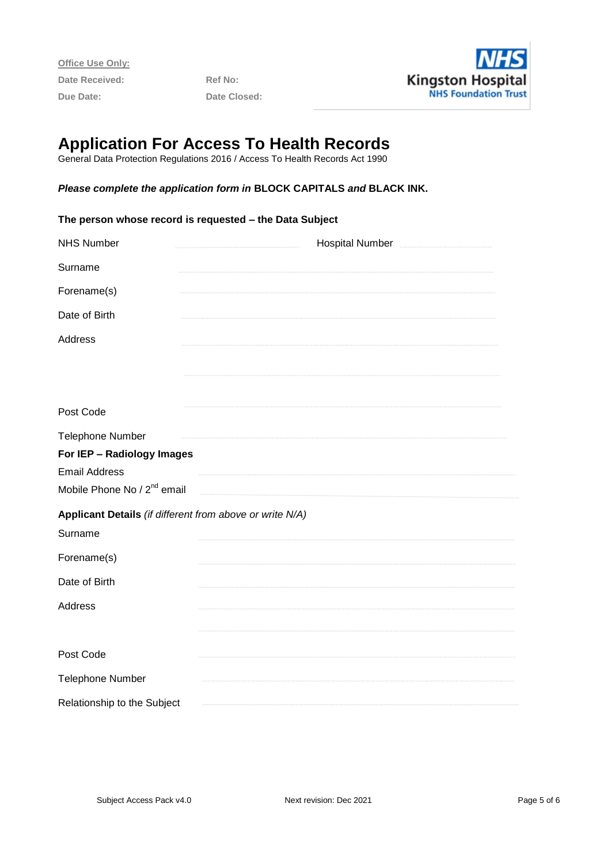**Office Use Only:** Date Received: Ref No: **Due Date: Date Closed:** 



# **Application For Access To Health Records**

General Data Protection Regulations 2016 / Access To Health Records Act 1990

#### *Please complete the application form in* **BLOCK CAPITALS** *and* **BLACK INK.**

| The person whose record is requested - the Data Subject  |                                                  |  |  |
|----------------------------------------------------------|--------------------------------------------------|--|--|
| <b>NHS Number</b>                                        | Hospital Number Manuel Allen Manuel Manuel Allen |  |  |
| Surname                                                  |                                                  |  |  |
| Forename(s)                                              |                                                  |  |  |
| Date of Birth                                            |                                                  |  |  |
| Address                                                  |                                                  |  |  |
|                                                          |                                                  |  |  |
|                                                          |                                                  |  |  |
| Post Code                                                |                                                  |  |  |
| Telephone Number                                         |                                                  |  |  |
| For IEP - Radiology Images                               |                                                  |  |  |
| <b>Email Address</b>                                     |                                                  |  |  |
| Mobile Phone No / 2 <sup>nd</sup> email                  |                                                  |  |  |
| Applicant Details (if different from above or write N/A) |                                                  |  |  |
| Surname                                                  |                                                  |  |  |
| Forename(s)                                              |                                                  |  |  |
| Date of Birth                                            |                                                  |  |  |
| Address                                                  |                                                  |  |  |
|                                                          |                                                  |  |  |
| Post Code                                                |                                                  |  |  |
| Telephone Number                                         |                                                  |  |  |
| Relationship to the Subject                              |                                                  |  |  |